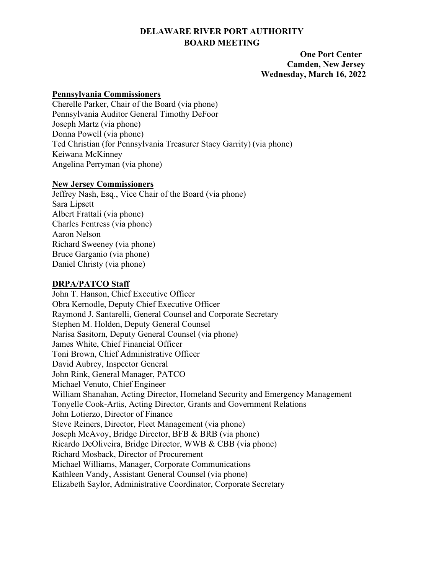# **DELAWARE RIVER PORT AUTHORITY BOARD MEETING**

 **One Port Center Camden, New Jersey Wednesday, March 16, 2022** 

#### **Pennsylvania Commissioners**

Cherelle Parker, Chair of the Board (via phone) Pennsylvania Auditor General Timothy DeFoor Joseph Martz (via phone) Donna Powell (via phone) Ted Christian (for Pennsylvania Treasurer Stacy Garrity) (via phone) Keiwana McKinney Angelina Perryman (via phone)

#### **New Jersey Commissioners**

Jeffrey Nash, Esq., Vice Chair of the Board (via phone) Sara Lipsett Albert Frattali (via phone) Charles Fentress (via phone) Aaron Nelson Richard Sweeney (via phone) Bruce Garganio (via phone) Daniel Christy (via phone)

# **DRPA/PATCO Staff**

John T. Hanson, Chief Executive Officer Obra Kernodle, Deputy Chief Executive Officer Raymond J. Santarelli, General Counsel and Corporate Secretary Stephen M. Holden, Deputy General Counsel Narisa Sasitorn, Deputy General Counsel (via phone) James White, Chief Financial Officer Toni Brown, Chief Administrative Officer David Aubrey, Inspector General John Rink, General Manager, PATCO Michael Venuto, Chief Engineer William Shanahan, Acting Director, Homeland Security and Emergency Management Tonyelle Cook-Artis, Acting Director, Grants and Government Relations John Lotierzo, Director of Finance Steve Reiners, Director, Fleet Management (via phone) Joseph McAvoy, Bridge Director, BFB & BRB (via phone) Ricardo DeOliveira, Bridge Director, WWB & CBB (via phone) Richard Mosback, Director of Procurement Michael Williams, Manager, Corporate Communications Kathleen Vandy, Assistant General Counsel (via phone) Elizabeth Saylor, Administrative Coordinator, Corporate Secretary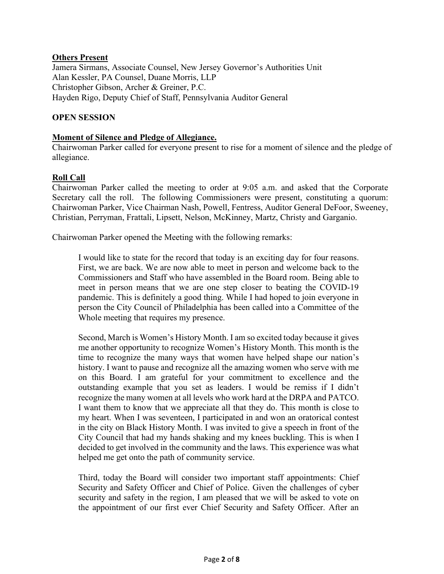# **Others Present**

Jamera Sirmans, Associate Counsel, New Jersey Governor's Authorities Unit Alan Kessler, PA Counsel, Duane Morris, LLP Christopher Gibson, Archer & Greiner, P.C. Hayden Rigo, Deputy Chief of Staff, Pennsylvania Auditor General

# **OPEN SESSION**

#### **Moment of Silence and Pledge of Allegiance.**

Chairwoman Parker called for everyone present to rise for a moment of silence and the pledge of allegiance.

# **Roll Call**

Chairwoman Parker called the meeting to order at 9:05 a.m. and asked that the Corporate Secretary call the roll. The following Commissioners were present, constituting a quorum: Chairwoman Parker, Vice Chairman Nash, Powell, Fentress, Auditor General DeFoor, Sweeney, Christian, Perryman, Frattali, Lipsett, Nelson, McKinney, Martz, Christy and Garganio.

Chairwoman Parker opened the Meeting with the following remarks:

I would like to state for the record that today is an exciting day for four reasons. First, we are back. We are now able to meet in person and welcome back to the Commissioners and Staff who have assembled in the Board room. Being able to meet in person means that we are one step closer to beating the COVID-19 pandemic. This is definitely a good thing. While I had hoped to join everyone in person the City Council of Philadelphia has been called into a Committee of the Whole meeting that requires my presence.

Second, March is Women's History Month. I am so excited today because it gives me another opportunity to recognize Women's History Month. This month is the time to recognize the many ways that women have helped shape our nation's history. I want to pause and recognize all the amazing women who serve with me on this Board. I am grateful for your commitment to excellence and the outstanding example that you set as leaders. I would be remiss if I didn't recognize the many women at all levels who work hard at the DRPA and PATCO. I want them to know that we appreciate all that they do. This month is close to my heart. When I was seventeen, I participated in and won an oratorical contest in the city on Black History Month. I was invited to give a speech in front of the City Council that had my hands shaking and my knees buckling. This is when I decided to get involved in the community and the laws. This experience was what helped me get onto the path of community service.

Third, today the Board will consider two important staff appointments: Chief Security and Safety Officer and Chief of Police. Given the challenges of cyber security and safety in the region, I am pleased that we will be asked to vote on the appointment of our first ever Chief Security and Safety Officer. After an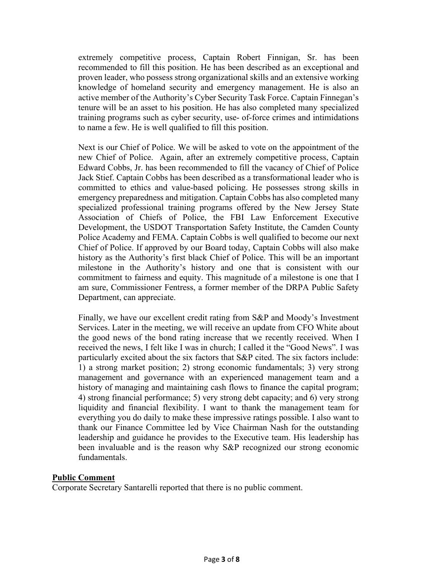extremely competitive process, Captain Robert Finnigan, Sr. has been recommended to fill this position. He has been described as an exceptional and proven leader, who possess strong organizational skills and an extensive working knowledge of homeland security and emergency management. He is also an active member of the Authority's Cyber Security Task Force. Captain Finnegan's tenure will be an asset to his position. He has also completed many specialized training programs such as cyber security, use- of-force crimes and intimidations to name a few. He is well qualified to fill this position.

Next is our Chief of Police. We will be asked to vote on the appointment of the new Chief of Police. Again, after an extremely competitive process, Captain Edward Cobbs, Jr. has been recommended to fill the vacancy of Chief of Police Jack Stief. Captain Cobbs has been described as a transformational leader who is committed to ethics and value-based policing. He possesses strong skills in emergency preparedness and mitigation. Captain Cobbs has also completed many specialized professional training programs offered by the New Jersey State Association of Chiefs of Police, the FBI Law Enforcement Executive Development, the USDOT Transportation Safety Institute, the Camden County Police Academy and FEMA. Captain Cobbs is well qualified to become our next Chief of Police. If approved by our Board today, Captain Cobbs will also make history as the Authority's first black Chief of Police. This will be an important milestone in the Authority's history and one that is consistent with our commitment to fairness and equity. This magnitude of a milestone is one that I am sure, Commissioner Fentress, a former member of the DRPA Public Safety Department, can appreciate.

Finally, we have our excellent credit rating from S&P and Moody's Investment Services. Later in the meeting, we will receive an update from CFO White about the good news of the bond rating increase that we recently received. When I received the news, I felt like I was in church; I called it the "Good News". I was particularly excited about the six factors that S&P cited. The six factors include: 1) a strong market position; 2) strong economic fundamentals; 3) very strong management and governance with an experienced management team and a history of managing and maintaining cash flows to finance the capital program; 4) strong financial performance; 5) very strong debt capacity; and 6) very strong liquidity and financial flexibility. I want to thank the management team for everything you do daily to make these impressive ratings possible. I also want to thank our Finance Committee led by Vice Chairman Nash for the outstanding leadership and guidance he provides to the Executive team. His leadership has been invaluable and is the reason why S&P recognized our strong economic fundamentals.

#### **Public Comment**

Corporate Secretary Santarelli reported that there is no public comment.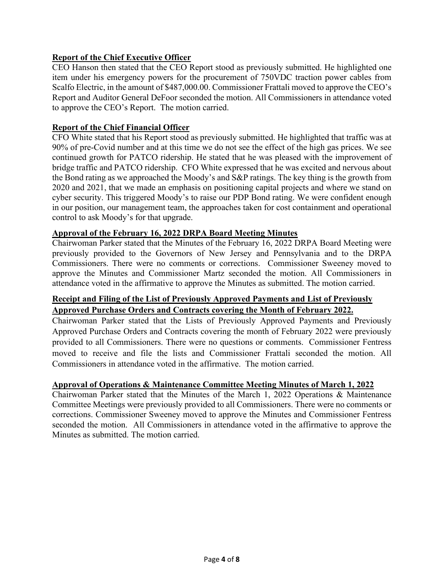# **Report of the Chief Executive Officer**

CEO Hanson then stated that the CEO Report stood as previously submitted. He highlighted one item under his emergency powers for the procurement of 750VDC traction power cables from Scalfo Electric, in the amount of \$487,000.00. Commissioner Frattali moved to approve the CEO's Report and Auditor General DeFoor seconded the motion. All Commissioners in attendance voted to approve the CEO's Report. The motion carried.

# **Report of the Chief Financial Officer**

CFO White stated that his Report stood as previously submitted. He highlighted that traffic was at 90% of pre-Covid number and at this time we do not see the effect of the high gas prices. We see continued growth for PATCO ridership. He stated that he was pleased with the improvement of bridge traffic and PATCO ridership. CFO White expressed that he was excited and nervous about the Bond rating as we approached the Moody's and S&P ratings. The key thing is the growth from 2020 and 2021, that we made an emphasis on positioning capital projects and where we stand on cyber security. This triggered Moody's to raise our PDP Bond rating. We were confident enough in our position, our management team, the approaches taken for cost containment and operational control to ask Moody's for that upgrade.

# **Approval of the February 16, 2022 DRPA Board Meeting Minutes**

Chairwoman Parker stated that the Minutes of the February 16, 2022 DRPA Board Meeting were previously provided to the Governors of New Jersey and Pennsylvania and to the DRPA Commissioners. There were no comments or corrections. Commissioner Sweeney moved to approve the Minutes and Commissioner Martz seconded the motion. All Commissioners in attendance voted in the affirmative to approve the Minutes as submitted. The motion carried.

# **Receipt and Filing of the List of Previously Approved Payments and List of Previously Approved Purchase Orders and Contracts covering the Month of February 2022.**

Chairwoman Parker stated that the Lists of Previously Approved Payments and Previously Approved Purchase Orders and Contracts covering the month of February 2022 were previously provided to all Commissioners. There were no questions or comments. Commissioner Fentress moved to receive and file the lists and Commissioner Frattali seconded the motion. All Commissioners in attendance voted in the affirmative. The motion carried.

# **Approval of Operations & Maintenance Committee Meeting Minutes of March 1, 2022**

Chairwoman Parker stated that the Minutes of the March 1, 2022 Operations & Maintenance Committee Meetings were previously provided to all Commissioners. There were no comments or corrections. Commissioner Sweeney moved to approve the Minutes and Commissioner Fentress seconded the motion. All Commissioners in attendance voted in the affirmative to approve the Minutes as submitted. The motion carried.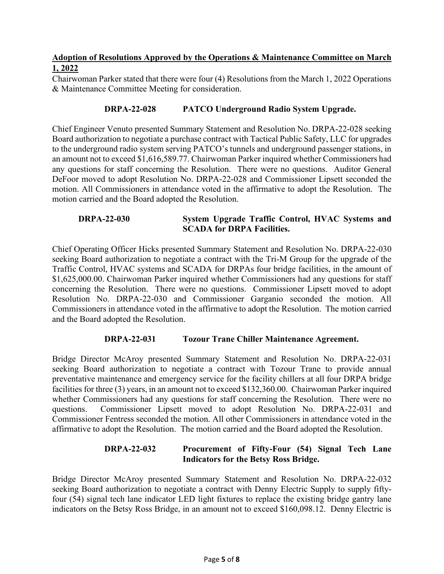# **Adoption of Resolutions Approved by the Operations & Maintenance Committee on March 1, 2022**

Chairwoman Parker stated that there were four (4) Resolutions from the March 1, 2022 Operations & Maintenance Committee Meeting for consideration.

# **DRPA-22-028 PATCO Underground Radio System Upgrade.**

Chief Engineer Venuto presented Summary Statement and Resolution No. DRPA-22-028 seeking Board authorization to negotiate a purchase contract with Tactical Public Safety, LLC for upgrades to the underground radio system serving PATCO's tunnels and underground passenger stations, in an amount not to exceed \$1,616,589.77. Chairwoman Parker inquired whether Commissioners had any questions for staff concerning the Resolution. There were no questions. Auditor General DeFoor moved to adopt Resolution No. DRPA-22-028 and Commissioner Lipsett seconded the motion. All Commissioners in attendance voted in the affirmative to adopt the Resolution. The motion carried and the Board adopted the Resolution.

# **DRPA-22-030 System Upgrade Traffic Control, HVAC Systems and SCADA for DRPA Facilities.**

Chief Operating Officer Hicks presented Summary Statement and Resolution No. DRPA-22-030 seeking Board authorization to negotiate a contract with the Tri-M Group for the upgrade of the Traffic Control, HVAC systems and SCADA for DRPAs four bridge facilities, in the amount of \$1,625,000.00. Chairwoman Parker inquired whether Commissioners had any questions for staff concerning the Resolution. There were no questions. Commissioner Lipsett moved to adopt Resolution No. DRPA-22-030 and Commissioner Garganio seconded the motion. All Commissioners in attendance voted in the affirmative to adopt the Resolution. The motion carried and the Board adopted the Resolution.

### **DRPA-22-031 Tozour Trane Chiller Maintenance Agreement.**

Bridge Director McAroy presented Summary Statement and Resolution No. DRPA-22-031 seeking Board authorization to negotiate a contract with Tozour Trane to provide annual preventative maintenance and emergency service for the facility chillers at all four DRPA bridge facilities for three (3) years, in an amount not to exceed \$132,360.00. Chairwoman Parker inquired whether Commissioners had any questions for staff concerning the Resolution. There were no questions. Commissioner Lipsett moved to adopt Resolution No. DRPA-22-031 and Commissioner Fentress seconded the motion. All other Commissioners in attendance voted in the affirmative to adopt the Resolution. The motion carried and the Board adopted the Resolution.

# **DRPA-22-032 Procurement of Fifty-Four (54) Signal Tech Lane Indicators for the Betsy Ross Bridge.**

Bridge Director McAroy presented Summary Statement and Resolution No. DRPA-22-032 seeking Board authorization to negotiate a contract with Denny Electric Supply to supply fiftyfour (54) signal tech lane indicator LED light fixtures to replace the existing bridge gantry lane indicators on the Betsy Ross Bridge, in an amount not to exceed \$160,098.12. Denny Electric is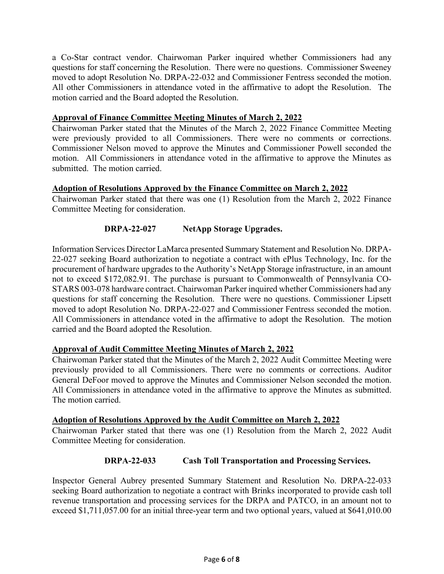a Co-Star contract vendor. Chairwoman Parker inquired whether Commissioners had any questions for staff concerning the Resolution. There were no questions. Commissioner Sweeney moved to adopt Resolution No. DRPA-22-032 and Commissioner Fentress seconded the motion. All other Commissioners in attendance voted in the affirmative to adopt the Resolution. The motion carried and the Board adopted the Resolution.

### **Approval of Finance Committee Meeting Minutes of March 2, 2022**

Chairwoman Parker stated that the Minutes of the March 2, 2022 Finance Committee Meeting were previously provided to all Commissioners. There were no comments or corrections. Commissioner Nelson moved to approve the Minutes and Commissioner Powell seconded the motion. All Commissioners in attendance voted in the affirmative to approve the Minutes as submitted. The motion carried.

# **Adoption of Resolutions Approved by the Finance Committee on March 2, 2022**

Chairwoman Parker stated that there was one (1) Resolution from the March 2, 2022 Finance Committee Meeting for consideration.

# **DRPA-22-027 NetApp Storage Upgrades.**

Information Services Director LaMarca presented Summary Statement and Resolution No. DRPA-22-027 seeking Board authorization to negotiate a contract with ePlus Technology, Inc. for the procurement of hardware upgrades to the Authority's NetApp Storage infrastructure, in an amount not to exceed \$172,082.91. The purchase is pursuant to Commonwealth of Pennsylvania CO-STARS 003-078 hardware contract. Chairwoman Parker inquired whether Commissioners had any questions for staff concerning the Resolution. There were no questions. Commissioner Lipsett moved to adopt Resolution No. DRPA-22-027 and Commissioner Fentress seconded the motion. All Commissioners in attendance voted in the affirmative to adopt the Resolution. The motion carried and the Board adopted the Resolution.

### **Approval of Audit Committee Meeting Minutes of March 2, 2022**

Chairwoman Parker stated that the Minutes of the March 2, 2022 Audit Committee Meeting were previously provided to all Commissioners. There were no comments or corrections. Auditor General DeFoor moved to approve the Minutes and Commissioner Nelson seconded the motion. All Commissioners in attendance voted in the affirmative to approve the Minutes as submitted. The motion carried.

### **Adoption of Resolutions Approved by the Audit Committee on March 2, 2022**

Chairwoman Parker stated that there was one (1) Resolution from the March 2, 2022 Audit Committee Meeting for consideration.

### **DRPA-22-033 Cash Toll Transportation and Processing Services.**

Inspector General Aubrey presented Summary Statement and Resolution No. DRPA-22-033 seeking Board authorization to negotiate a contract with Brinks incorporated to provide cash toll revenue transportation and processing services for the DRPA and PATCO, in an amount not to exceed \$1,711,057.00 for an initial three-year term and two optional years, valued at \$641,010.00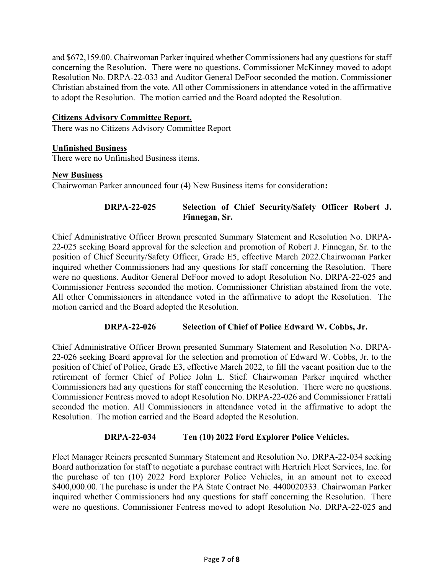and \$672,159.00. Chairwoman Parker inquired whether Commissioners had any questions for staff concerning the Resolution. There were no questions. Commissioner McKinney moved to adopt Resolution No. DRPA-22-033 and Auditor General DeFoor seconded the motion. Commissioner Christian abstained from the vote. All other Commissioners in attendance voted in the affirmative to adopt the Resolution. The motion carried and the Board adopted the Resolution.

### **Citizens Advisory Committee Report.**

There was no Citizens Advisory Committee Report

### **Unfinished Business**

There were no Unfinished Business items.

#### **New Business**

Chairwoman Parker announced four (4) New Business items for consideration**:**

# **DRPA-22-025 Selection of Chief Security/Safety Officer Robert J. Finnegan, Sr.**

Chief Administrative Officer Brown presented Summary Statement and Resolution No. DRPA-22-025 seeking Board approval for the selection and promotion of Robert J. Finnegan, Sr. to the position of Chief Security/Safety Officer, Grade E5, effective March 2022.Chairwoman Parker inquired whether Commissioners had any questions for staff concerning the Resolution. There were no questions. Auditor General DeFoor moved to adopt Resolution No. DRPA-22-025 and Commissioner Fentress seconded the motion. Commissioner Christian abstained from the vote. All other Commissioners in attendance voted in the affirmative to adopt the Resolution. The motion carried and the Board adopted the Resolution.

### **DRPA-22-026 Selection of Chief of Police Edward W. Cobbs, Jr.**

Chief Administrative Officer Brown presented Summary Statement and Resolution No. DRPA-22-026 seeking Board approval for the selection and promotion of Edward W. Cobbs, Jr. to the position of Chief of Police, Grade E3, effective March 2022, to fill the vacant position due to the retirement of former Chief of Police John L. Stief. Chairwoman Parker inquired whether Commissioners had any questions for staff concerning the Resolution. There were no questions. Commissioner Fentress moved to adopt Resolution No. DRPA-22-026 and Commissioner Frattali seconded the motion. All Commissioners in attendance voted in the affirmative to adopt the Resolution. The motion carried and the Board adopted the Resolution.

### **DRPA-22-034 Ten (10) 2022 Ford Explorer Police Vehicles.**

Fleet Manager Reiners presented Summary Statement and Resolution No. DRPA-22-034 seeking Board authorization for staff to negotiate a purchase contract with Hertrich Fleet Services, Inc. for the purchase of ten (10) 2022 Ford Explorer Police Vehicles, in an amount not to exceed \$400,000.00. The purchase is under the PA State Contract No. 4400020333. Chairwoman Parker inquired whether Commissioners had any questions for staff concerning the Resolution. There were no questions. Commissioner Fentress moved to adopt Resolution No. DRPA-22-025 and